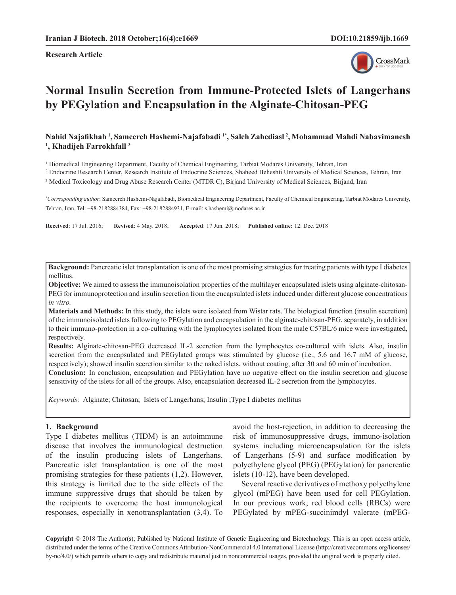**Research Article**



# **Normal Insulin Secretion from Immune-Protected Islets of Langerhans by PEGylation and Encapsulation in the Alginate-Chitosan-PEG**

Nahid Najafikhah <sup>1</sup>, Sameereh Hashemi-Najafabadi <sup>1\*</sup>, Saleh Zahediasl <sup>2</sup>, Mohammad Mahdi Nabavimanesh<br><sup>1</sup> Khadiieh Earrokhfall <sup>3</sup> **, Khadijeh Farrokhfall 3**

<sup>1</sup> Biomedical Engineering Department, Faculty of Chemical Engineering, Tarbiat Modares University, Tehran, Iran

2 Endocrine Research Center, Research Institute of Endocrine Sciences, Shaheed Beheshti University of Medical Sciences, Tehran, Iran

3 Medical Toxicology and Drug Abuse Research Center (MTDR C), Birjand University of Medical Sciences, Birjand, Iran

**\*** *Corresponding author*: Sameereh Hashemi-Najafabadi, Biomedical Engineering Department, Faculty of Chemical Engineering, Tarbiat Modares University, Tehran, Iran. Tel: +98-2182884384, Fax: +98-2182884931, E-mail: [s.hashemi@modares.ac.ir](mailto:s.hashemi@modares.ac.ir)

**Received**: 17 Jul. 2016; **Revised**: 4 May. 2018; **Accepted**: 17 Jun. 2018; **Published online:** 12. Dec. 2018

**Background:** Pancreatic islet transplantation is one of the most promising strategies for treating patients with type I diabetes mellitus.

**Objective:** We aimed to assess the immunoisolation properties of the multilayer encapsulated islets using alginate-chitosan-PEG for immunoprotection and insulin secretion from the encapsulated islets induced under different glucose concentrations *in vitro.*

**Materials and Methods:** In this study, the islets were isolated from Wistar rats. The biological function (insulin secretion) of the immunoisolated islets following to PEGylation and encapsulation in the alginate-chitosan-PEG, separately, in addition to their immuno-protection in a co-culturing with the lymphocytes isolated from the male C57BL/6 mice were investigated, respectively.

**Results:** Alginate-chitosan-PEG decreased IL-2 secretion from the lymphocytes co-cultured with islets. Also, insulin secretion from the encapsulated and PEGylated groups was stimulated by glucose (i.e., 5.6 and 16.7 mM of glucose, respectively); showed insulin secretion similar to the naked islets, without coating, after 30 and 60 min of incubation. **Conclusion:** In conclusion, encapsulation and PEGylation have no negative effect on the insulin secretion and glucose

sensitivity of the islets for all of the groups. Also, encapsulation decreased IL-2 secretion from the lymphocytes.

*Keywords:* Alginate; Chitosan; [Islets of Langerhans; Insulin ;Type I diabetes mellitus](https://www.nlm.nih.gov/cgi/mesh/2016/MB_cgi?term=Diabetes Mellitus, Type 1)

## **1. Background**

Type I diabetes mellitus (TIDM) is an autoimmune disease that involves the immunological destruction of the insulin producing islets of Langerhans. Pancreatic islet transplantation is one of the most promising strategies for these patients (1,2). However, this strategy is limited due to the side effects of the immune suppressive drugs that should be taken by the recipients to overcome the host immunological responses, especially in xenotransplantation (3,4). To avoid the host-rejection, in addition to decreasing the risk of immunosuppressive drugs, immuno-isolation systems including microencapsulation for the islets of Langerhans (5-9) and surface modification by polyethylene glycol (PEG) (PEGylation) for pancreatic islets (10-12), have been developed.

Several reactive derivatives of methoxy polyethylene glycol (mPEG) have been used for cell PEGylation. In our previous work, red blood cells (RBCs) were PEGylated by mPEG-succinimdyl valerate (mPEG-

**Copyright** © 2018 The Author(s); Published by National Institute of Genetic Engineering and Biotechnology. This is an open access article, distributed under the terms of the Creative Commons Attribution-NonCommercial 4.0 International License (http://creativecommons.org/licenses/ by-nc/4.0/) which permits others to copy and redistribute material just in noncommercial usages, provided the original work is properly cited.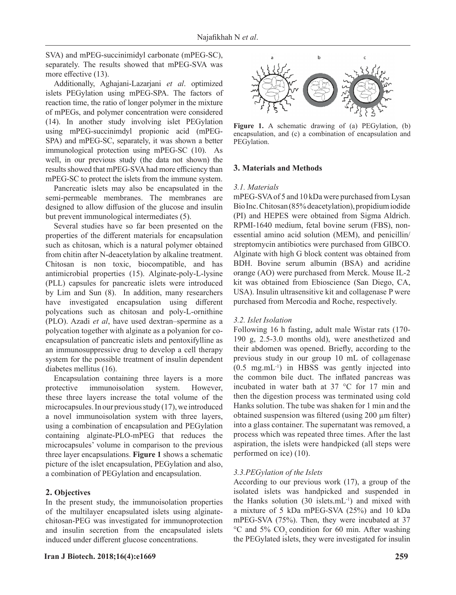SVA) and mPEG-succinimidyl carbonate (mPEG-SC), separately. The results showed that mPEG-SVA was more effective (13).

Additionally, Aghajani-Lazarjani *et al*. optimized islets PEGylation using mPEG-SPA. The factors of reaction time, the ratio of longer polymer in the mixture of mPEGs, and polymer concentration were considered (14). In another study involving islet PEGylation using mPEG-succinimdyl propionic acid (mPEG-SPA) and mPEG-SC, separately, it was shown a better immunological protection using mPEG-SC (10). As well, in our previous study (the data not shown) the results showed that mPEG-SVA had more efficiency than mPEG-SC to protect the islets from the immune system.

Pancreatic islets may also be encapsulated in the semi-permeable membranes. The membranes are designed to allow diffusion of the glucose and insulin but prevent immunological intermediates (5).

Several studies have so far been presented on the properties of the different materials for encapsulation such as chitosan, which is a natural polymer obtained from chitin after N-deacetylation by alkaline treatment. Chitosan is non toxic, biocompatible, and has antimicrobial properties (15). Alginate-poly-L-lysine (PLL) capsules for pancreatic islets were introduced by Lim and Sun (8). In addition, many researchers have investigated encapsulation using different polycations such as chitosan and poly-L-ornithine (PLO). Azadi *et al*, have used dextran–spermine as a polycation together with alginate as a polyanion for coencapsulation of pancreatic islets and pentoxifylline as an immunosuppressive drug to develop a cell therapy system for the possible treatment of insulin dependent diabetes mellitus (16).

Encapsulation containing three layers is a more protective immunoisolation system. However, these three layers increase the total volume of the microcapsules. In our previous study (17), we introduced a novel immunoisolation system with three layers, using a combination of encapsulation and PEGylation containing alginate-PLO-mPEG that reduces the microcapsules' volume in comparison to the previous three layer encapsulations. **Figure 1** shows a schematic picture of the islet encapsulation, PEGylation and also, a combination of PEGylation and encapsulation.

## **2. Objectives**

In the present study, the immunoisolation properties of the multilayer encapsulated islets using alginatechitosan-PEG was investigated for immunoprotection and insulin secretion from the encapsulated islets induced under different glucose concentrations.



**Figure 1.** A schematic drawing of (a) PEGylation, (b) encapsulation, and (c) a combination of encapsulation and PEGylation.

#### **3. Materials and Methods**

#### *3.1. Materials*

mPEG-SVA of 5 and 10 kDa were purchased from Lysan Bio Inc. Chitosan (85% deacetylation), propidium iodide (PI) and HEPES were obtained from Sigma Aldrich. RPMI-1640 medium, fetal bovine serum (FBS), nonessential amino acid solution (MEM), and penicillin/ streptomycin antibiotics were purchased from GIBCO. Alginate with high G block content was obtained from BDH. Bovine serum albumin (BSA) and acridine orange (AO) were purchased from Merck. Mouse IL-2 kit was obtained from Ebioscience (San Diego, CA, USA). Insulin ultrasensitive kit and collagenase P were purchased from Mercodia and Roche, respectively.

#### *3.2. Islet Isolation*

Following 16 h fasting, adult male Wistar rats (170- 190 g, 2.5-3.0 months old), were anesthetized and their abdomen was opened. Briefly, according to the previous study in our group 10 mL of collagenase  $(0.5 \text{ mg.mL}^{-1})$  in HBSS was gently injected into the common bile duct. The inflated pancreas was incubated in water bath at 37 °C for 17 min and then the digestion process was terminated using cold Hanks solution. The tube was shaken for 1 min and the obtained suspension was filtered (using 200 µm filter) into a glass container. The supernatant was removed, a process which was repeated three times. After the last aspiration, the islets were handpicked (all steps were performed on ice) (10).

## *3.3.PEGylation of the Islets*

According to our previous work (17), a group of the isolated islets was handpicked and suspended in the Hanks solution  $(30 \text{ islets.mL}^{-1})$  and mixed with a mixture of 5 kDa mPEG-SVA (25%) and 10 kDa mPEG-SVA (75%). Then, they were incubated at 37  $\rm{^{\circ}C}$  and 5% CO<sub>2</sub> condition for 60 min. After washing the PEGylated islets, they were investigated for insulin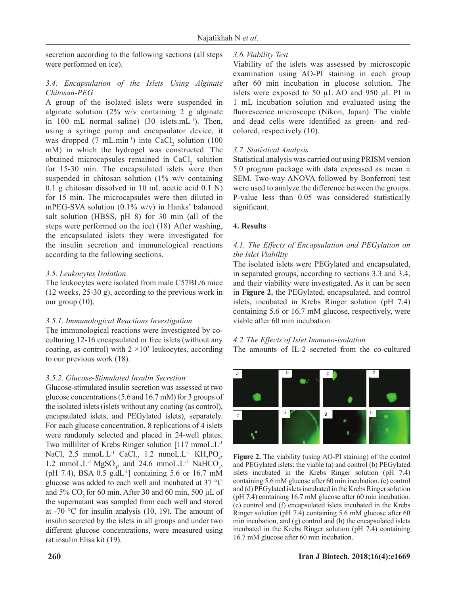secretion according to the following sections (all steps were performed on ice).

# *3.4. Encapsulation of the Islets Using Alginate Chitosan-PEG*

A group of the isolated islets were suspended in alginate solution (2% w/v containing 2 g alginate in 100 mL normal saline)  $(30 \text{ islets.mL}^{-1})$ . Then, using a syringe pump and encapsulator device, it was dropped  $(7 \text{ mL.min}^{-1})$  into CaCl<sub>2</sub> solution  $(100 \text{ m})$ mM) in which the hydrogel was constructed. The obtained microcapsules remained in  $CaCl<sub>2</sub>$  solution for 15-30 min. The encapsulated islets were then suspended in chitosan solution (1% w/v containing 0.1 g chitosan dissolved in 10 mL acetic acid 0.1 N) for 15 min. The microcapsules were then diluted in mPEG-SVA solution (0.1% w/v) in Hanks' balanced salt solution (HBSS, pH 8) for 30 min (all of the steps were performed on the ice) (18) After washing, the encapsulated islets they were investigated for the insulin secretion and immunological reactions according to the following sections.

# *3.5. Leukocytes Isolation*

The leukocytes were isolated from male C57BL/6 mice (12 weeks, 25-30 g), according to the previous work in our group (10).

## *3.5.1. Immunological Reactions Investigation*

The immunological reactions were investigated by coculturing 12-16 encapsulated or free islets (without any coating, as control) with  $2 \times 10^5$  leukocytes, according to our previous work (18).

## *3.5.2. Glucose-Stimulated Insulin Secretion*

Glucose-stimulated insulin secretion was assessed at two glucose concentrations (5.6 and 16.7 mM) for 3 groups of the isolated islets (islets without any coating (as control), encapsulated islets, and PEGylated islets), separately. For each glucose concentration, 8 replications of 4 islets were randomly selected and placed in 24-well plates. Two milliliter of Krebs Ringer solution [117 mmoL.L-1 NaCl, 2.5 mmoL.L<sup>-1</sup> CaCl<sub>2</sub>, 1.2 mmoL.L<sup>-1</sup> KH<sub>2</sub>PO<sub>4</sub>, 1.2 mmoL.L<sup>-1</sup> MgSO<sub>4</sub>, and 24.6 mmoL.L<sup>-1</sup> NaHCO<sub>3</sub>, (pH 7.4), BSA 0.5 g.dL<sup>-1</sup>] containing 5.6 or 16.7 mM glucose was added to each well and incubated at 37 °C and 5% CO<sub>2</sub> for 60 min. After 30 and 60 min, 500  $\mu$ L of the supernatant was sampled from each well and stored at -70 °C for insulin analysis (10, 19). The amount of insulin secreted by the islets in all groups and under two different glucose concentrations, were measured using rat insulin Elisa kit (19).

# *3.6.Viability Test*

Viability of the islets was assessed by microscopic examination using AO-PI staining in each group after 60 min incubation in glucose solution. The islets were exposed to 50 µL AO and 950 µL PI in 1 mL incubation solution and evaluated using the fluorescence microscope (Nikon, Japan). The viable and dead cells were identified as green- and redcolored, respectively (10).

# *3.7. Statistical Analysis*

Statistical analysis was carried out using PRISM version 5.0 program package with data expressed as mean  $\pm$ SEM. Two-way ANOVA followed by Bonferroni test were used to analyze the difference between the groups. P-value less than 0.05 was considered statistically significant.

# **4. Results**

# *4.1. The Effects of Encapsulation and PEGylation on the Islet Viability*

The isolated islets were PEGylated and encapsulated, in separated groups, according to sections 3.3 and 3.4, and their viability were investigated. As it can be seen in **Figure 2**, the PEGylated, encapsulated, and control islets, incubated in Krebs Ringer solution (pH 7.4) containing 5.6 or 16.7 mM glucose, respectively, were viable after 60 min incubation.

# *4.2.The Effects of Islet Immuno-isolation*

The amounts of IL-2 secreted from the co-cultured



**Figure 2.** The viability (using AO-PI staining) of the control and PEGylated islets: the viable (a) and control (b) PEGylated islets incubated in the Krebs Ringer solution (pH 7.4) containing 5.6 mM glucose after 60 min incubation. (c) control and (d) PEGylated islets incubated in the Krebs Ringer solution (pH 7.4) containing 16.7 mM glucose after 60 min incubation. (e) control and (f) encapsulated islets incubated in the Krebs Ringer solution (pH 7.4) containing 5.6 mM glucose after 60 min incubation, and (g) control and (h) the encapsulated islets incubated in the Krebs Ringer solution (pH 7.4) containing 16.7 mM glucose after 60 min incubation.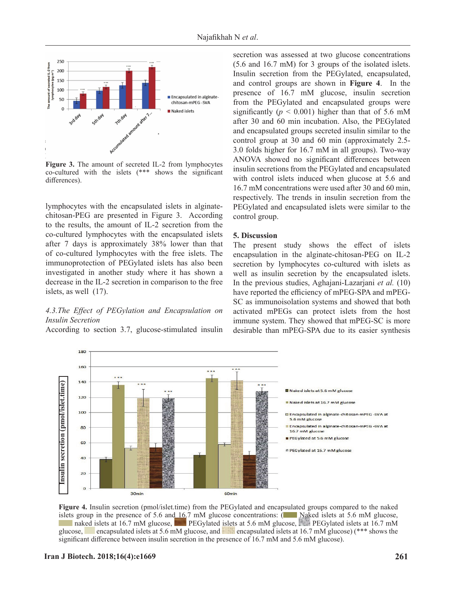

**Figure 3.** The amount of secreted IL-2 from lymphocytes co-cultured with the islets (\*\*\* shows the significant differences).

lymphocytes with the encapsulated islets in alginatechitosan-PEG are presented in Figure 3. According to the results, the amount of IL-2 secretion from the co-cultured lymphocytes with the encapsulated islets after 7 days is approximately 38% lower than that of co-cultured lymphocytes with the free islets. The immunoprotection of PEGylated islets has also been investigated in another study where it has shown a decrease in the IL-2 secretion in comparison to the free islets, as well (17).

# *4.3.The Effect of PEGylation and Encapsulation on Insulin Secretion*

According to section 3.7, glucose-stimulated insulin

secretion was assessed at two glucose concentrations (5.6 and 16.7 mM) for 3 groups of the isolated islets. Insulin secretion from the PEGylated, encapsulated, and control groups are shown in **Figure 4**. In the presence of 16.7 mM glucose, insulin secretion from the PEGylated and encapsulated groups were significantly ( $p < 0.001$ ) higher than that of 5.6 mM after 30 and 60 min incubation. Also, the PEGylated and encapsulated groups secreted insulin similar to the control group at 30 and 60 min (approximately 2.5- 3.0 folds higher for 16.7 mM in all groups). Two-way ANOVA showed no significant differences between insulin secretions from the PEGylated and encapsulated with control islets induced when glucose at 5.6 and 16.7 mM concentrations were used after 30 and 60 min, respectively. The trends in insulin secretion from the PEGylated and encapsulated islets were similar to the control group.

## **5. Discussion**

The present study shows the effect of islets encapsulation in the alginate-chitosan-PEG on IL-2 secretion by lymphocytes co-cultured with islets as well as insulin secretion by the encapsulated islets. In the previous studies, Aghajani-Lazarjani *et al.* (10) have reported the efficiency of mPEG-SPA and mPEG-SC as immunoisolation systems and showed that both activated mPEGs can protect islets from the host immune system. They showed that mPEG-SC is more desirable than mPEG-SPA due to its easier synthesis



**Figure 4.** Insulin secretion (pmol/islet.time) from the PEGylated and encapsulated groups compared to the naked islets group in the presence of 5.6 and  $16.7 \text{ mM}$  glucose concentrations: (Naked islets at 5.6 mM glucose, naked islets at 16.7 mM glucose, PEGylated islets at 5.6 mM glucose, PEGylated islets at 16.7 mM glucose, encapsulated islets at 5.6 mM glucose, and encapsulated islets at 16.7 mM glucose) (\*\*\* shows the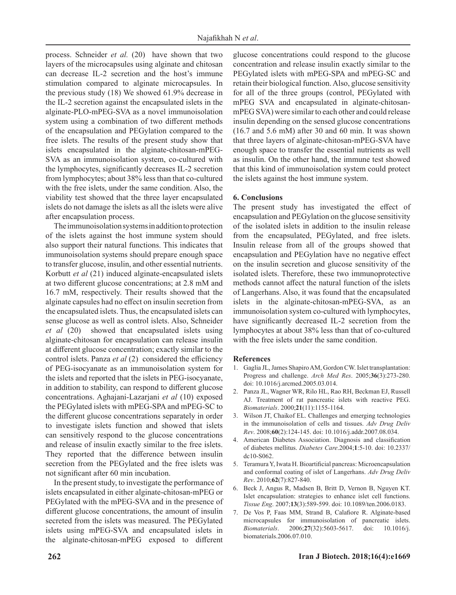process. Schneider *et al.* (20) have shown that two layers of the microcapsules using alginate and chitosan can decrease IL-2 secretion and the host's immune stimulation compared to alginate microcapsules. In the previous study (18) We showed 61.9% decrease in the IL-2 secretion against the encapsulated islets in the alginate-PLO-mPEG-SVA as a novel immunoisolation system using a combination of two different methods of the encapsulation and PEGylation compared to the free islets. The results of the present study show that islets encapsulated in the alginate-chitosan-mPEG-SVA as an immunoisolation system, co-cultured with the lymphocytes, significantly decreases IL-2 secretion from lymphocytes; about 38% less than that co-cultured with the free islets, under the same condition. Also, the viability test showed that the three layer encapsulated islets do not damage the islets as all the islets were alive after encapsulation process.

The immunoisolation systems in addition to protection of the islets against the host immune system should also support their natural functions. This indicates that immunoisolation systems should prepare enough space to transfer glucose, insulin, and other essential nutrients. Korbutt *et al* (21) induced alginate-encapsulated islets at two different glucose concentrations; at 2.8 mM and 16.7 mM, respectively. Their results showed that the alginate capsules had no effect on insulin secretion from the encapsulated islets. Thus, the encapsulated islets can sense glucose as well as control islets. Also, Schneider *et al* (20) showed that encapsulated islets using alginate-chitosan for encapsulation can release insulin at different glucose concentration; exactly similar to the control islets. Panza *et al* (2) considered the efficiency of PEG-isocyanate as an immunoisolation system for the islets and reported that the islets in PEG-isocyanate, in addition to stability, can respond to different glucose concentrations. Aghajani-Lazarjani *et al* (10) exposed the PEGylated islets with mPEG-SPA and mPEG-SC to the different glucose concentrations separately in order to investigate islets function and showed that islets can sensitively respond to the glucose concentrations and release of insulin exactly similar to the free islets. They reported that the difference between insulin secretion from the PEGylated and the free islets was not significant after 60 min incubation.

In the present study, to investigate the performance of islets encapsulated in either alginate-chitosan-mPEG or PEGylated with the mPEG-SVA and in the presence of different glucose concentrations, the amount of insulin secreted from the islets was measured. The PEGylated islets using mPEG-SVA and encapsulated islets in the alginate-chitosan-mPEG exposed to different glucose concentrations could respond to the glucose concentration and release insulin exactly similar to the PEGylated islets with mPEG-SPA and mPEG-SC and retain their biological function. Also, glucose sensitivity for all of the three groups (control, PEGylated with mPEG SVA and encapsulated in alginate-chitosanmPEG SVA) were similar to each other and could release insulin depending on the sensed glucose concentrations (16.7 and 5.6 mM) after 30 and 60 min. It was shown that three layers of alginate-chitosan-mPEG-SVA have enough space to transfer the essential nutrients as well as insulin. On the other hand, the immune test showed that this kind of immunoisolation system could protect the islets against the host immune system.

## **6. Conclusions**

The present study has investigated the effect of encapsulation and PEGylation on the glucose sensitivity of the isolated islets in addition to the insulin release from the encapsulated, PEGylated, and free islets. Insulin release from all of the groups showed that encapsulation and PEGylation have no negative effect on the insulin secretion and glucose sensitivity of the isolated islets. Therefore, these two immunoprotective methods cannot affect the natural function of the islets of Langerhans. Also, it was found that the encapsulated islets in the alginate-chitosan-mPEG-SVA, as an immunoisolation system co-cultured with lymphocytes, have significantly decreased IL-2 secretion from the lymphocytes at about 38% less than that of co-cultured with the free islets under the same condition.

#### **References**

- 1. Gaglia JL, James Shapiro AM, Gordon CW. Islet transplantation: Progress and challenge. *Arch Med Res*. 2005;**36**(3):273-280. doi: 10.1016/j.arcmed.2005.03.014.
- 2. [Panza JL,](http://www.ncbi.nlm.nih.gov/pubmed/?term=Panza JL%5BAuthor%5D&cauthor=true&cauthor_uid=10817268) [Wagner WR,](http://www.ncbi.nlm.nih.gov/pubmed/?term=Wagner WR%5BAuthor%5D&cauthor=true&cauthor_uid=10817268) [Rilo HL,](http://www.ncbi.nlm.nih.gov/pubmed/?term=Rilo HL%5BAuthor%5D&cauthor=true&cauthor_uid=10817268) [Rao RH](http://www.ncbi.nlm.nih.gov/pubmed/?term=Rao RH%5BAuthor%5D&cauthor=true&cauthor_uid=10817268), [Beckman EJ](http://www.ncbi.nlm.nih.gov/pubmed/?term=Beckman EJ%5BAuthor%5D&cauthor=true&cauthor_uid=10817268), [Russell](http://www.ncbi.nlm.nih.gov/pubmed/?term=Russell AJ%5BAuthor%5D&cauthor=true&cauthor_uid=10817268) [AJ](http://www.ncbi.nlm.nih.gov/pubmed/?term=Russell AJ%5BAuthor%5D&cauthor=true&cauthor_uid=10817268). Treatment of rat pancreatic islets with reactive PEG. *Biomaterials*. 2000;**21**(11):1155-1164.
- 3. Wilson JT, Chaikof EL. [Challenges and emerging technologies](http://www.sciencedirect.com/science/article/pii/S0169409X07002396) in the immunoisolation [of cells and tissues](http://www.sciencedirect.com/science/article/pii/S0169409X07002396). *Adv Drug Deliv Rev*. 2008;**60**(2):124-145. doi: [10.1016/j.addr.2007.08.034.](https://dx.doi.org/10.1016%2Fj.addr.2007.08.034)
- 4. American Diabetes Association. Diagnosis and classification of diabetes mellitus. *Diabetes Care*.2004;**1**:5-10. doi: [10.2337/](https://dx.doi.org/10.2337%2Fdc10-S062) [dc10-S062](https://dx.doi.org/10.2337%2Fdc10-S062).
- 5. Teramura Y, Iwata H. Bioartificial pancreas: Microencapsulation and conformal coating of islet of Langerhans. *Adv Drug Deliv Rev*. 2010;**62**(7):827-840.
- 6. [Beck J](http://www.ncbi.nlm.nih.gov/pubmed/?term=Beck J%5BAuthor%5D&cauthor=true&cauthor_uid=17518605), [Angus R,](http://www.ncbi.nlm.nih.gov/pubmed/?term=Angus R%5BAuthor%5D&cauthor=true&cauthor_uid=17518605) [Madsen B,](http://www.ncbi.nlm.nih.gov/pubmed/?term=Madsen B%5BAuthor%5D&cauthor=true&cauthor_uid=17518605) [Britt D](http://www.ncbi.nlm.nih.gov/pubmed/?term=Britt D%5BAuthor%5D&cauthor=true&cauthor_uid=17518605), [Vernon B,](http://www.ncbi.nlm.nih.gov/pubmed/?term=Vernon B%5BAuthor%5D&cauthor=true&cauthor_uid=17518605) [Nguyen KT](http://www.ncbi.nlm.nih.gov/pubmed/?term=Nguyen KT%5BAuthor%5D&cauthor=true&cauthor_uid=17518605). Islet encapsulation: strategies to enhance islet cell functions. *Tissue Eng*. 2007;**13**(3):589-599. doi: 10.1089/ten.2006.0183.
- 7. [De Vos P,](http://www.ncbi.nlm.nih.gov/pubmed/?term=de Vos P%5BAuthor%5D&cauthor=true&cauthor_uid=16879864) [Faas MM,](http://www.ncbi.nlm.nih.gov/pubmed/?term=Faas MM%5BAuthor%5D&cauthor=true&cauthor_uid=16879864) [Strand B,](http://www.ncbi.nlm.nih.gov/pubmed/?term=Strand B%5BAuthor%5D&cauthor=true&cauthor_uid=16879864) [Calafiore R](http://www.ncbi.nlm.nih.gov/pubmed/?term=Calafiore R%5BAuthor%5D&cauthor=true&cauthor_uid=16879864). [Alginate-based](http://www.sciencedirect.com/science/article/pii/S0142961206006004) microcapsules for immunoisolation [of pancreatic islets](http://www.sciencedirect.com/science/article/pii/S0142961206006004). *Biomaterials*. 2006;**27**(32):5603-5617. doi: 10.1016/j. biomaterials.2006.07.010.